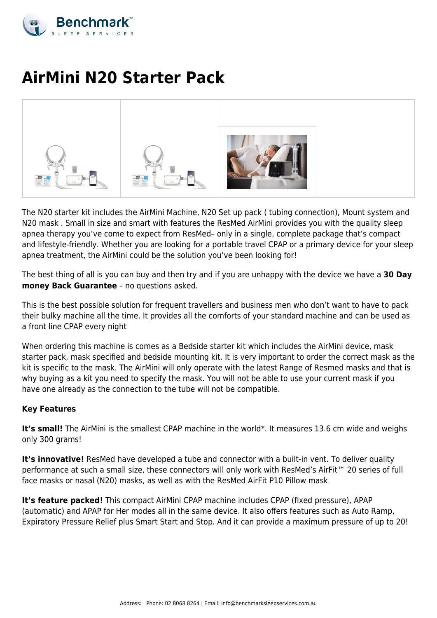

# **AirMini N20 Starter Pack**



The N20 starter kit includes the AirMini Machine, N20 Set up pack ( tubing connection), Mount system and N20 mask . Small in size and smart with features the ResMed AirMini provides you with the quality sleep apnea therapy you've come to expect from ResMed– only in a single, complete package that's compact and lifestyle-friendly. Whether you are looking for a portable travel CPAP or a primary device for your sleep apnea treatment, the AirMini could be the solution you've been looking for!

The best thing of all is you can buy and then try and if you are unhappy with the device we have a **30 Day money Back Guarantee** – no questions asked.

This is the best possible solution for frequent travellers and business men who don't want to have to pack their bulky machine all the time. It provides all the comforts of your standard machine and can be used as a front line CPAP every night

When ordering this machine is comes as a Bedside starter kit which includes the AirMini device, mask starter pack, mask specified and bedside mounting kit. It is very important to order the correct mask as the kit is specific to the mask. The AirMini will only operate with the latest Range of Resmed masks and that is why buying as a kit you need to specify the mask. You will not be able to use your current mask if you have one already as the connection to the tube will not be compatible.

# **Key Features**

It's small! The AirMini is the smallest CPAP machine in the world\*. It measures 13.6 cm wide and weighs only 300 grams!

It's **innovative!** ResMed have developed a tube and connector with a built-in vent. To deliver quality performance at such a small size, these connectors will only work with ResMed's AirFit™ 20 series of full face masks or nasal (N20) masks, as well as with the ResMed AirFit P10 Pillow mask

**It's feature packed!** This compact AirMini CPAP machine includes CPAP (fixed pressure), APAP (automatic) and APAP for Her modes all in the same device. It also offers features such as Auto Ramp, Expiratory Pressure Relief plus Smart Start and Stop. And it can provide a maximum pressure of up to 20!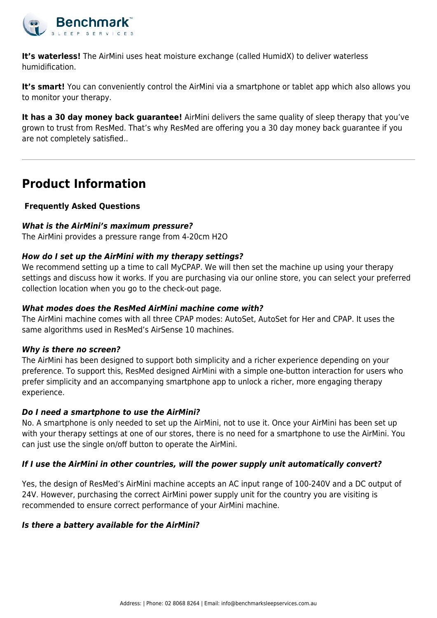

**It's waterless!** The AirMini uses heat moisture exchange (called HumidX) to deliver waterless humidification.

**It's smart!** You can conveniently control the AirMini via a smartphone or tablet app which also allows you to monitor your therapy.

**It has a 30 day money back guarantee!** AirMini delivers the same quality of sleep therapy that you've grown to trust from ResMed. That's why ResMed are offering you a 30 day money back guarantee if you are not completely satisfied..

# **Product Information**

# **Frequently Asked Questions**

# *What is the AirMini's maximum pressure?*

The AirMini provides a pressure range from 4-20cm H2O

# *How do I set up the AirMini with my therapy settings?*

We recommend setting up a time to call MyCPAP. We will then set the machine up using your therapy settings and discuss how it works. If you are purchasing via our online store, you can select your preferred collection location when you go to the check-out page.

### *What modes does the ResMed AirMini machine come with?*

The AirMini machine comes with all three CPAP modes: AutoSet, AutoSet for Her and CPAP. It uses the same algorithms used in ResMed's AirSense 10 machines.

# *Why is there no screen?*

The AirMini has been designed to support both simplicity and a richer experience depending on your preference. To support this, ResMed designed AirMini with a simple one-button interaction for users who prefer simplicity and an accompanying smartphone app to unlock a richer, more engaging therapy experience.

# *Do I need a smartphone to use the AirMini?*

No. A smartphone is only needed to set up the AirMini, not to use it. Once your AirMini has been set up with your therapy settings at one of our stores, there is no need for a smartphone to use the AirMini. You can just use the single on/off button to operate the AirMini.

# *If I use the AirMini in other countries, will the power supply unit automatically convert?*

Yes, the design of ResMed's AirMini machine accepts an AC input range of 100-240V and a DC output of 24V. However, purchasing the correct AirMini power supply unit for the country you are visiting is recommended to ensure correct performance of your AirMini machine.

# *Is there a battery available for the AirMini?*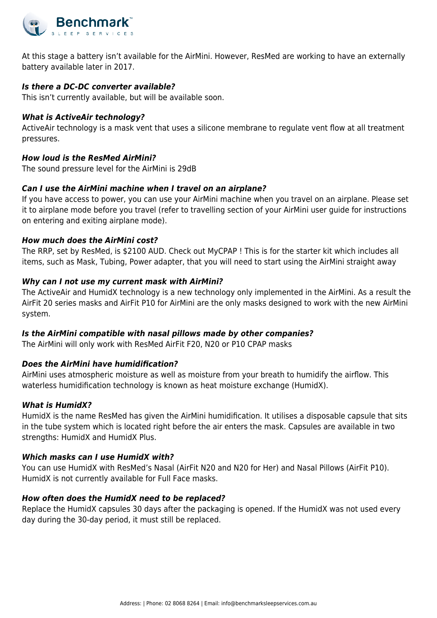

At this stage a battery isn't available for the AirMini. However, ResMed are working to have an externally battery available later in 2017.

# *Is there a DC-DC converter available?*

This isn't currently available, but will be available soon.

#### *What is ActiveAir technology?*

ActiveAir technology is a mask vent that uses a silicone membrane to regulate vent flow at all treatment pressures.

#### *How loud is the ResMed AirMini?*

The sound pressure level for the AirMini is 29dB

#### *Can I use the AirMini machine when I travel on an airplane?*

If you have access to power, you can use your AirMini machine when you travel on an airplane. Please set it to airplane mode before you travel (refer to travelling section of your AirMini user guide for instructions on entering and exiting airplane mode).

#### *How much does the AirMini cost?*

The RRP, set by ResMed, is \$2100 AUD. Check out MyCPAP ! This is for the starter kit which includes all items, such as Mask, Tubing, Power adapter, that you will need to start using the AirMini straight away

#### *Why can I not use my current mask with AirMini?*

The ActiveAir and HumidX technology is a new technology only implemented in the AirMini. As a result the AirFit 20 series masks and AirFit P10 for AirMini are the only masks designed to work with the new AirMini system.

#### *Is the AirMini compatible with nasal pillows made by other companies?*

The AirMini will only work with ResMed AirFit F20, N20 or P10 CPAP masks

#### *Does the AirMini have humidification?*

AirMini uses atmospheric moisture as well as moisture from your breath to humidify the airflow. This waterless humidification technology is known as heat moisture exchange (HumidX).

#### *What is HumidX?*

HumidX is the name ResMed has given the AirMini humidification. It utilises a disposable capsule that sits in the tube system which is located right before the air enters the mask. Capsules are available in two strengths: HumidX and HumidX Plus.

#### *Which masks can I use HumidX with?*

You can use HumidX with ResMed's Nasal (AirFit N20 and N20 for Her) and Nasal Pillows (AirFit P10). HumidX is not currently available for Full Face masks.

#### *How often does the HumidX need to be replaced?*

Replace the HumidX capsules 30 days after the packaging is opened. If the HumidX was not used every day during the 30-day period, it must still be replaced.